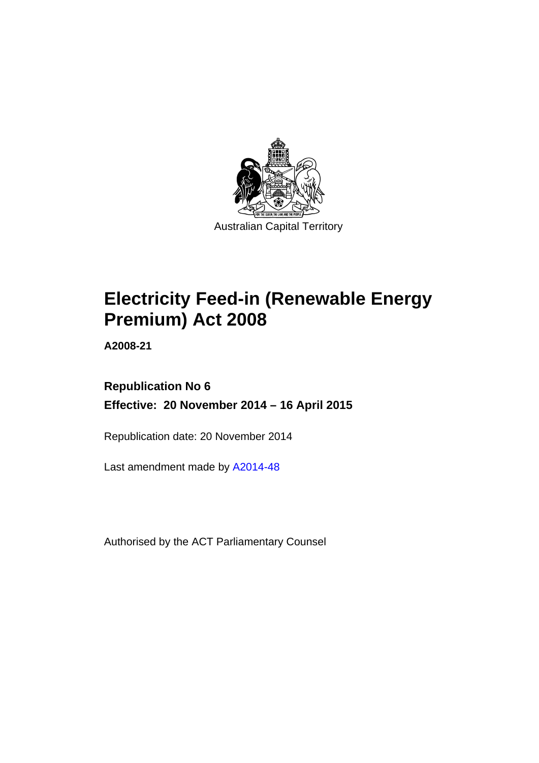

# **Electricity Feed-in (Renewable Energy Premium) Act 2008**

**A2008-21** 

### **Republication No 6 Effective: 20 November 2014 – 16 April 2015**

Republication date: 20 November 2014

Last amendment made by [A2014-48](http://www.legislation.act.gov.au/a/2014-48)

Authorised by the ACT Parliamentary Counsel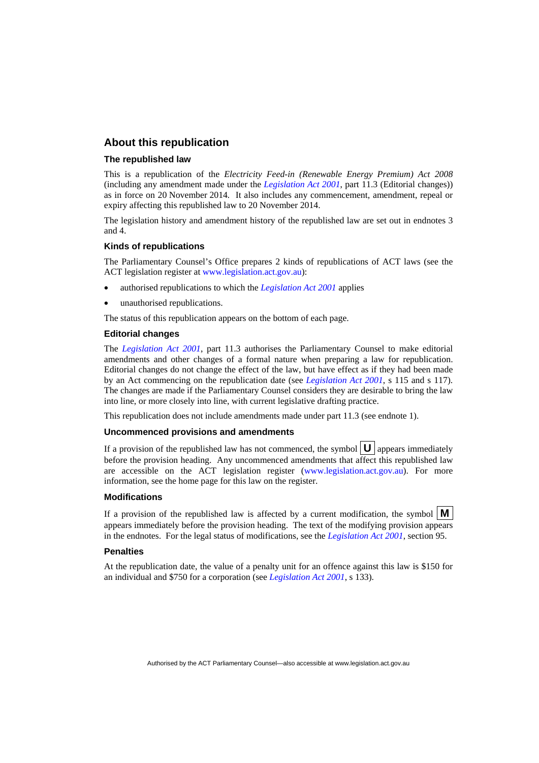#### **About this republication**

#### **The republished law**

This is a republication of the *Electricity Feed-in (Renewable Energy Premium) Act 2008* (including any amendment made under the *[Legislation Act 2001](http://www.legislation.act.gov.au/a/2001-14)*, part 11.3 (Editorial changes)) as in force on 20 November 2014*.* It also includes any commencement, amendment, repeal or expiry affecting this republished law to 20 November 2014.

The legislation history and amendment history of the republished law are set out in endnotes 3 and 4.

#### **Kinds of republications**

The Parliamentary Counsel's Office prepares 2 kinds of republications of ACT laws (see the ACT legislation register at [www.legislation.act.gov.au](http://www.legislation.act.gov.au/)):

- authorised republications to which the *[Legislation Act 2001](http://www.legislation.act.gov.au/a/2001-14)* applies
- unauthorised republications.

The status of this republication appears on the bottom of each page.

#### **Editorial changes**

The *[Legislation Act 2001](http://www.legislation.act.gov.au/a/2001-14)*, part 11.3 authorises the Parliamentary Counsel to make editorial amendments and other changes of a formal nature when preparing a law for republication. Editorial changes do not change the effect of the law, but have effect as if they had been made by an Act commencing on the republication date (see *[Legislation Act 2001](http://www.legislation.act.gov.au/a/2001-14)*, s 115 and s 117). The changes are made if the Parliamentary Counsel considers they are desirable to bring the law into line, or more closely into line, with current legislative drafting practice.

This republication does not include amendments made under part 11.3 (see endnote 1).

#### **Uncommenced provisions and amendments**

If a provision of the republished law has not commenced, the symbol  $\mathbf{U}$  appears immediately before the provision heading. Any uncommenced amendments that affect this republished law are accessible on the ACT legislation register [\(www.legislation.act.gov.au\)](http://www.legislation.act.gov.au/). For more information, see the home page for this law on the register.

#### **Modifications**

If a provision of the republished law is affected by a current modification, the symbol  $\mathbf{M}$ appears immediately before the provision heading. The text of the modifying provision appears in the endnotes. For the legal status of modifications, see the *[Legislation Act 2001](http://www.legislation.act.gov.au/a/2001-14)*, section 95.

#### **Penalties**

At the republication date, the value of a penalty unit for an offence against this law is \$150 for an individual and \$750 for a corporation (see *[Legislation Act 2001](http://www.legislation.act.gov.au/a/2001-14)*, s 133).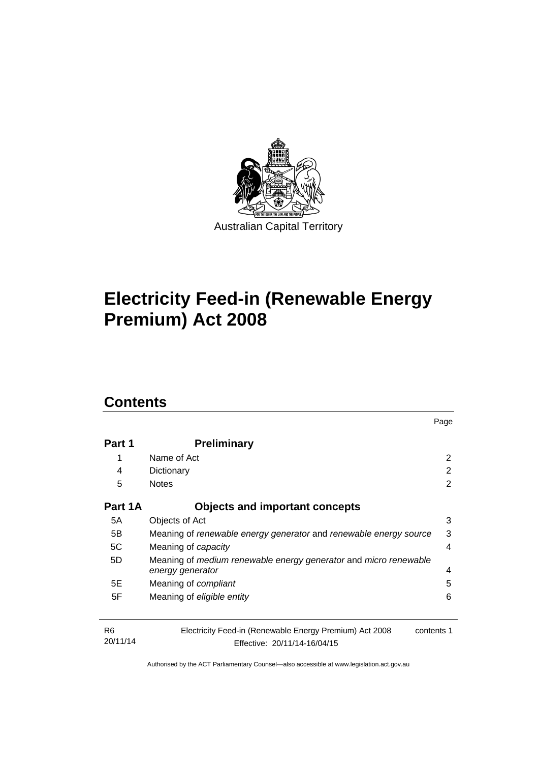

# **Electricity Feed-in (Renewable Energy Premium) Act 2008**

### **Contents**

| Part 1                     | <b>Preliminary</b>                                                                                    |                |  |  |
|----------------------------|-------------------------------------------------------------------------------------------------------|----------------|--|--|
| 1                          | Name of Act                                                                                           | $\overline{2}$ |  |  |
| 4                          | Dictionary                                                                                            |                |  |  |
| 5                          | <b>Notes</b>                                                                                          |                |  |  |
| Part 1A                    | <b>Objects and important concepts</b>                                                                 |                |  |  |
| 5A                         | Objects of Act                                                                                        | 3              |  |  |
| 5B                         | 3<br>Meaning of renewable energy generator and renewable energy source                                |                |  |  |
| 5C                         | Meaning of capacity                                                                                   |                |  |  |
| 5D                         | Meaning of medium renewable energy generator and micro renewable<br>energy generator                  | 4              |  |  |
| 5E                         | Meaning of <i>compliant</i>                                                                           | 5              |  |  |
| 5F                         | Meaning of eligible entity                                                                            | 6              |  |  |
| R <sub>6</sub><br>20/11/14 | Electricity Feed-in (Renewable Energy Premium) Act 2008<br>contents 1<br>Effective: 20/11/14-16/04/15 |                |  |  |

Page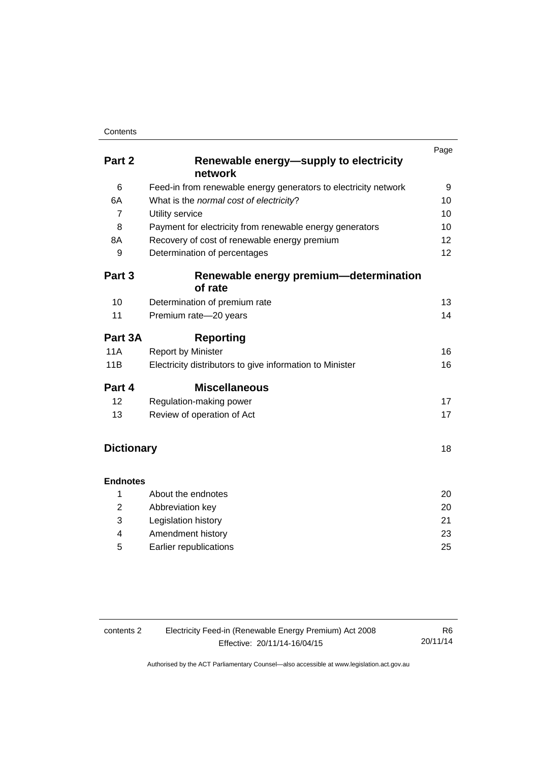#### **Contents**

|                   |                                                                 | Page |
|-------------------|-----------------------------------------------------------------|------|
| Part 2            | Renewable energy-supply to electricity                          |      |
|                   | network                                                         |      |
| 6                 | Feed-in from renewable energy generators to electricity network | 9    |
| 6A                | What is the normal cost of electricity?                         | 10   |
| $\overline{7}$    | Utility service                                                 | 10   |
| 8                 | Payment for electricity from renewable energy generators        | 10   |
| 8A                | Recovery of cost of renewable energy premium                    | 12   |
| 9                 | Determination of percentages                                    | 12   |
| Part 3            | Renewable energy premium—determination                          |      |
|                   | of rate                                                         |      |
| 10                | Determination of premium rate                                   | 13   |
| 11                | Premium rate-20 years                                           | 14   |
| Part 3A           | <b>Reporting</b>                                                |      |
| 11A               | <b>Report by Minister</b>                                       | 16   |
| 11B               | Electricity distributors to give information to Minister        | 16   |
| Part 4            | <b>Miscellaneous</b>                                            |      |
| 12                | Regulation-making power                                         | 17   |
| 13                | Review of operation of Act                                      | 17   |
|                   |                                                                 |      |
| <b>Dictionary</b> |                                                                 | 18   |
| <b>Endnotes</b>   |                                                                 |      |
| 1                 | About the endnotes                                              | 20   |
| $\overline{2}$    | Abbreviation key                                                | 20   |
| 3                 | Legislation history                                             | 21   |
| 4                 | Amendment history                                               | 23   |

5 [Earlier republications 25](#page-28-0)

| contents 2 | R6.                          |          |
|------------|------------------------------|----------|
|            | Effective: 20/11/14-16/04/15 | 20/11/14 |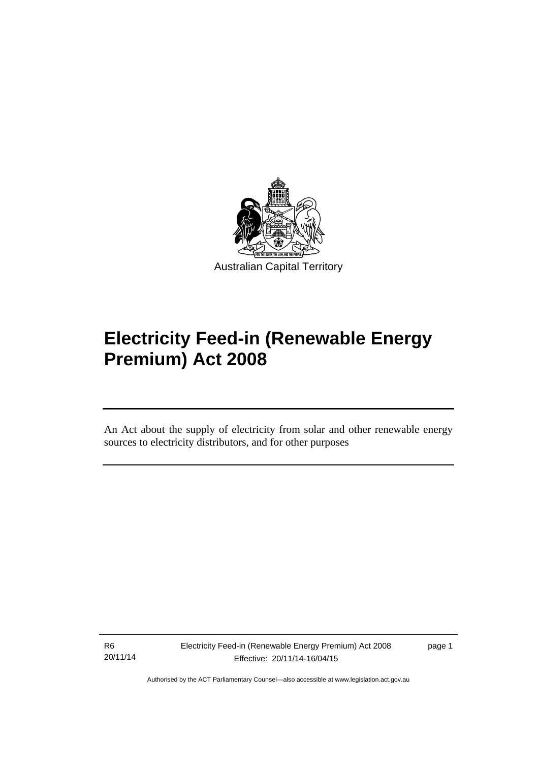

# **Electricity Feed-in (Renewable Energy Premium) Act 2008**

An Act about the supply of electricity from solar and other renewable energy sources to electricity distributors, and for other purposes

R6 20/11/14

l

page 1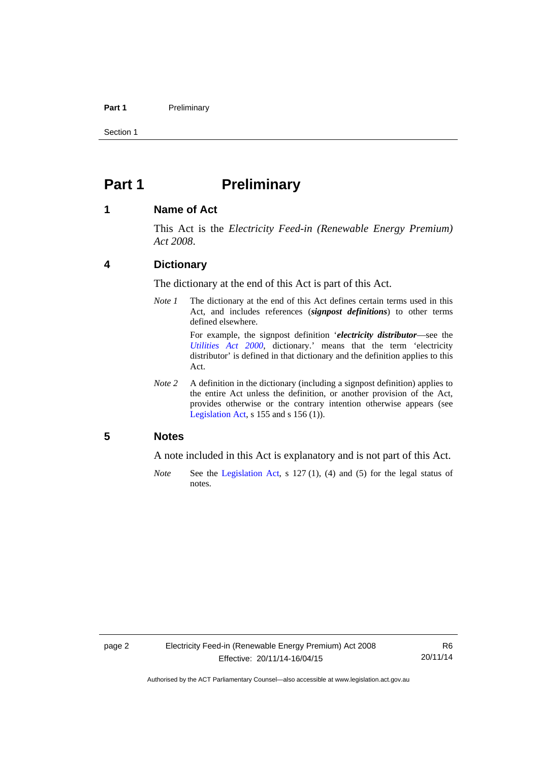#### Part 1 **Preliminary**

Section 1

### <span id="page-5-0"></span>**Part 1** Preliminary

#### <span id="page-5-1"></span>**1 Name of Act**

This Act is the *Electricity Feed-in (Renewable Energy Premium) Act 2008*.

#### <span id="page-5-2"></span>**4 Dictionary**

The dictionary at the end of this Act is part of this Act.

*Note 1* The dictionary at the end of this Act defines certain terms used in this Act, and includes references (*signpost definitions*) to other terms defined elsewhere.

> For example, the signpost definition '*electricity distributor*—see the *[Utilities Act 2000](http://www.legislation.act.gov.au/a/2000-65)*, dictionary.' means that the term 'electricity distributor' is defined in that dictionary and the definition applies to this Act.

*Note 2* A definition in the dictionary (including a signpost definition) applies to the entire Act unless the definition, or another provision of the Act, provides otherwise or the contrary intention otherwise appears (see [Legislation Act,](http://www.legislation.act.gov.au/a/2001-14) s  $155$  and s  $156$  (1)).

#### <span id="page-5-3"></span>**5 Notes**

A note included in this Act is explanatory and is not part of this Act.

*Note* See the [Legislation Act,](http://www.legislation.act.gov.au/a/2001-14) s 127 (1), (4) and (5) for the legal status of notes.

R6 20/11/14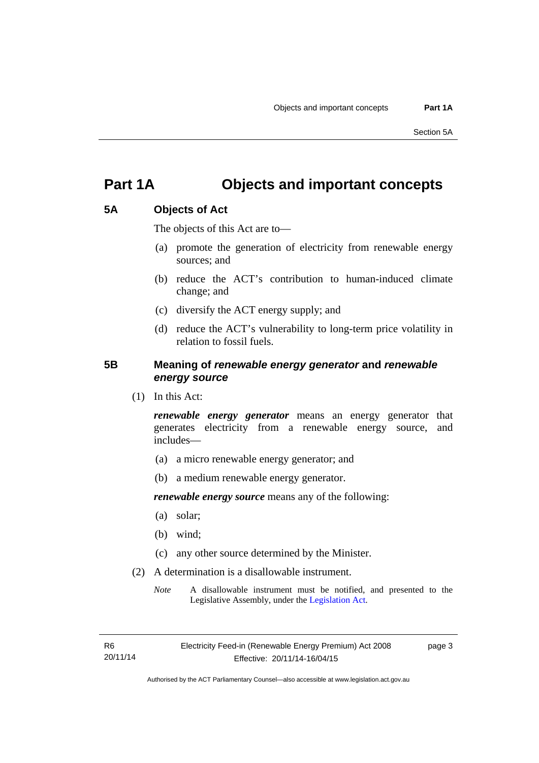### <span id="page-6-0"></span>**Part 1A Objects and important concepts**

#### <span id="page-6-1"></span>**5A Objects of Act**

The objects of this Act are to—

- (a) promote the generation of electricity from renewable energy sources; and
- (b) reduce the ACT's contribution to human-induced climate change; and
- (c) diversify the ACT energy supply; and
- (d) reduce the ACT's vulnerability to long-term price volatility in relation to fossil fuels.

#### <span id="page-6-2"></span>**5B Meaning of** *renewable energy generator* **and** *renewable energy source*

(1) In this Act:

*renewable energy generator* means an energy generator that generates electricity from a renewable energy source, and includes—

- (a) a micro renewable energy generator; and
- (b) a medium renewable energy generator.

*renewable energy source* means any of the following:

- (a) solar;
- (b) wind;
- (c) any other source determined by the Minister.
- (2) A determination is a disallowable instrument.
	- *Note* A disallowable instrument must be notified, and presented to the Legislative Assembly, under the [Legislation Act.](http://www.legislation.act.gov.au/a/2001-14)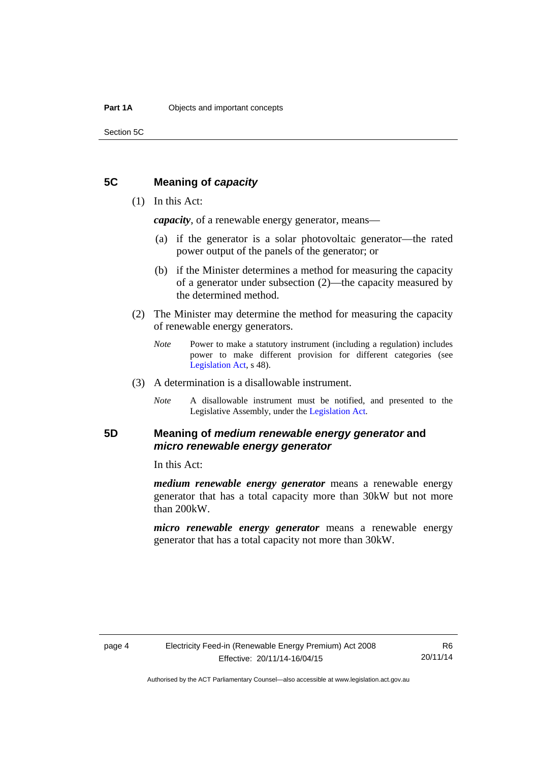Section 5C

#### <span id="page-7-0"></span>**5C Meaning of** *capacity*

#### (1) In this Act:

*capacity*, of a renewable energy generator, means—

- (a) if the generator is a solar photovoltaic generator—the rated power output of the panels of the generator; or
- (b) if the Minister determines a method for measuring the capacity of a generator under subsection (2)—the capacity measured by the determined method.
- (2) The Minister may determine the method for measuring the capacity of renewable energy generators.
	- *Note* Power to make a statutory instrument (including a regulation) includes power to make different provision for different categories (see [Legislation Act,](http://www.legislation.act.gov.au/a/2001-14) s 48).
- (3) A determination is a disallowable instrument.
	- *Note* A disallowable instrument must be notified, and presented to the Legislative Assembly, under the [Legislation Act.](http://www.legislation.act.gov.au/a/2001-14)

### <span id="page-7-1"></span>**5D Meaning of** *medium renewable energy generator* **and**  *micro renewable energy generator*

In this Act:

*medium renewable energy generator* means a renewable energy generator that has a total capacity more than 30kW but not more than 200kW.

*micro renewable energy generator* means a renewable energy generator that has a total capacity not more than 30kW.

Authorised by the ACT Parliamentary Counsel—also accessible at www.legislation.act.gov.au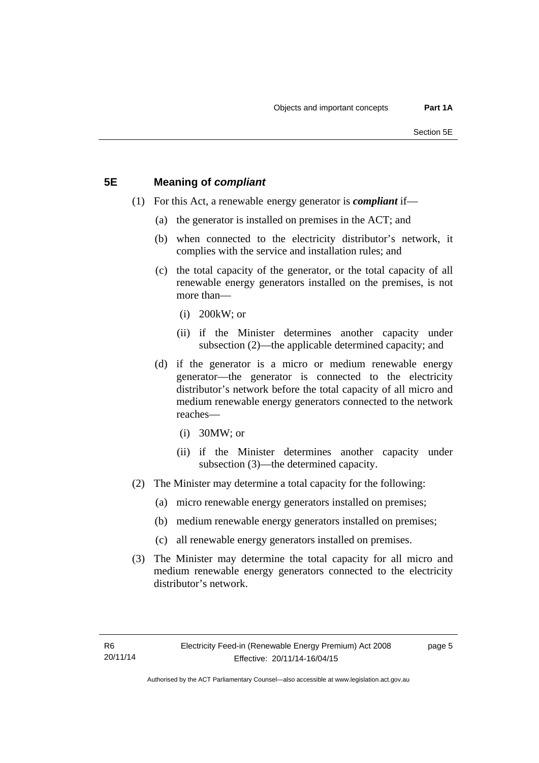#### <span id="page-8-0"></span>**5E Meaning of** *compliant*

- (1) For this Act, a renewable energy generator is *compliant* if—
	- (a) the generator is installed on premises in the ACT; and
	- (b) when connected to the electricity distributor's network, it complies with the service and installation rules; and
	- (c) the total capacity of the generator, or the total capacity of all renewable energy generators installed on the premises, is not more than—
		- (i) 200kW; or
		- (ii) if the Minister determines another capacity under subsection (2)—the applicable determined capacity; and
	- (d) if the generator is a micro or medium renewable energy generator—the generator is connected to the electricity distributor's network before the total capacity of all micro and medium renewable energy generators connected to the network reaches—
		- (i) 30MW; or
		- (ii) if the Minister determines another capacity under subsection (3)—the determined capacity.
- (2) The Minister may determine a total capacity for the following:
	- (a) micro renewable energy generators installed on premises;
	- (b) medium renewable energy generators installed on premises;
	- (c) all renewable energy generators installed on premises.
- (3) The Minister may determine the total capacity for all micro and medium renewable energy generators connected to the electricity distributor's network.

page 5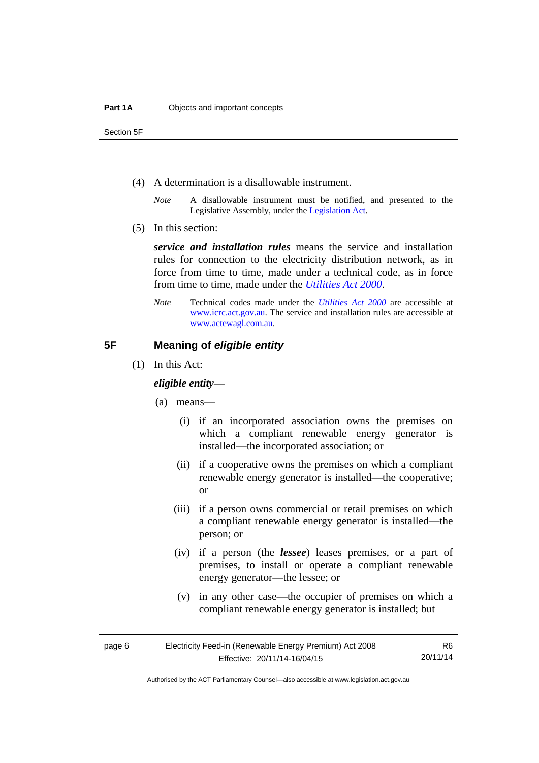Section 5F

- (4) A determination is a disallowable instrument.
	- *Note* A disallowable instrument must be notified, and presented to the Legislative Assembly, under the [Legislation Act.](http://www.legislation.act.gov.au/a/2001-14)
- (5) In this section:

*service and installation rules* means the service and installation rules for connection to the electricity distribution network, as in force from time to time, made under a technical code, as in force from time to time, made under the *[Utilities Act 2000](http://www.legislation.act.gov.au/a/2000-65)*.

*Note* Technical codes made under the *[Utilities Act 2000](http://www.legislation.act.gov.au/a/2000-65)* are accessible at [www.icrc.act.gov.au.](http://www.icrc.act.gov.au/) The service and installation rules are accessible at [www.actewagl.com.au](http://www.actewagl.com.au/).

#### <span id="page-9-0"></span>**5F Meaning of** *eligible entity*

(1) In this Act:

#### *eligible entity*—

- (a) means—
	- (i) if an incorporated association owns the premises on which a compliant renewable energy generator is installed—the incorporated association; or
	- (ii) if a cooperative owns the premises on which a compliant renewable energy generator is installed—the cooperative; or
	- (iii) if a person owns commercial or retail premises on which a compliant renewable energy generator is installed—the person; or
	- (iv) if a person (the *lessee*) leases premises, or a part of premises, to install or operate a compliant renewable energy generator—the lessee; or
	- (v) in any other case—the occupier of premises on which a compliant renewable energy generator is installed; but

R6 20/11/14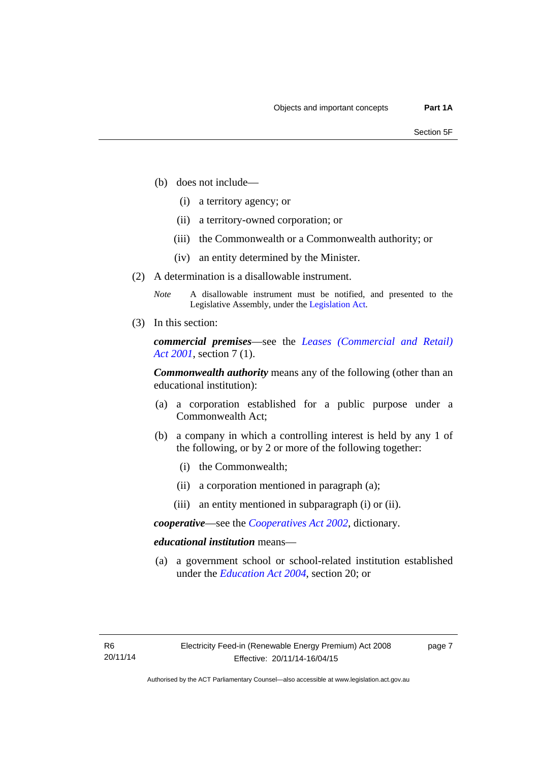- (b) does not include—
	- (i) a territory agency; or
	- (ii) a territory-owned corporation; or
	- (iii) the Commonwealth or a Commonwealth authority; or
	- (iv) an entity determined by the Minister.
- (2) A determination is a disallowable instrument.
	- *Note* A disallowable instrument must be notified, and presented to the Legislative Assembly, under the [Legislation Act.](http://www.legislation.act.gov.au/a/2001-14)
- (3) In this section:

*commercial premises*—see the *[Leases \(Commercial and Retail\)](http://www.legislation.act.gov.au/a/2001-18)  [Act 2001](http://www.legislation.act.gov.au/a/2001-18)*, section 7 (1).

*Commonwealth authority* means any of the following (other than an educational institution):

- (a) a corporation established for a public purpose under a Commonwealth Act;
- (b) a company in which a controlling interest is held by any 1 of the following, or by 2 or more of the following together:
	- (i) the Commonwealth;
	- (ii) a corporation mentioned in paragraph (a);
	- (iii) an entity mentioned in subparagraph (i) or (ii).

*cooperative*—see the *[Cooperatives Act 2002](http://www.legislation.act.gov.au/a/2002-45)*, dictionary.

#### *educational institution* means—

 (a) a government school or school-related institution established under the *[Education Act 2004](http://www.legislation.act.gov.au/a/2004-17)*, section 20; or

page 7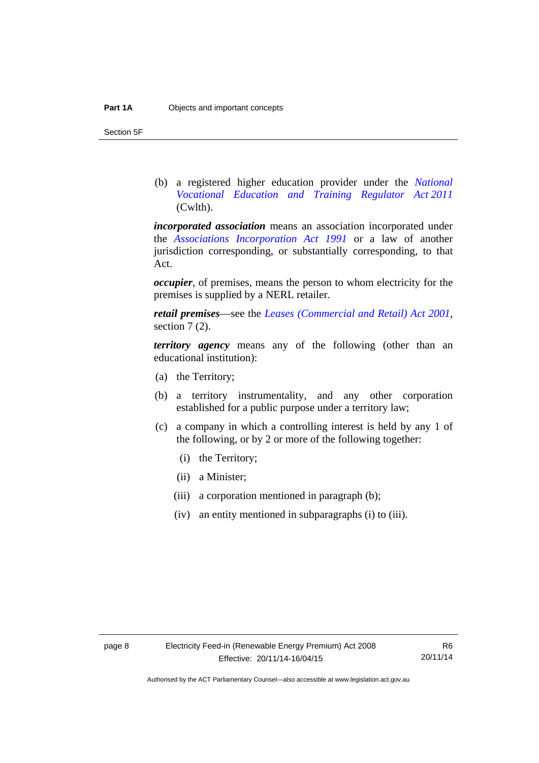Section 5F

 (b) a registered higher education provider under the *[National](http://www.comlaw.gov.au/Series/C2011A00012)  [Vocational Education and Training Regulator Act 2011](http://www.comlaw.gov.au/Series/C2011A00012)* (Cwlth).

*incorporated association* means an association incorporated under the *[Associations Incorporation Act 1991](http://www.legislation.act.gov.au/a/1991-46)* or a law of another jurisdiction corresponding, or substantially corresponding, to that Act.

*occupier*, of premises, means the person to whom electricity for the premises is supplied by a NERL retailer.

*retail premises*—see the *[Leases \(Commercial and Retail\) Act 2001](http://www.legislation.act.gov.au/a/2001-18)*, section 7 (2).

*territory agency* means any of the following (other than an educational institution):

- (a) the Territory;
- (b) a territory instrumentality, and any other corporation established for a public purpose under a territory law;
- (c) a company in which a controlling interest is held by any 1 of the following, or by 2 or more of the following together:
	- (i) the Territory;
	- (ii) a Minister;
	- (iii) a corporation mentioned in paragraph (b);
	- (iv) an entity mentioned in subparagraphs (i) to (iii).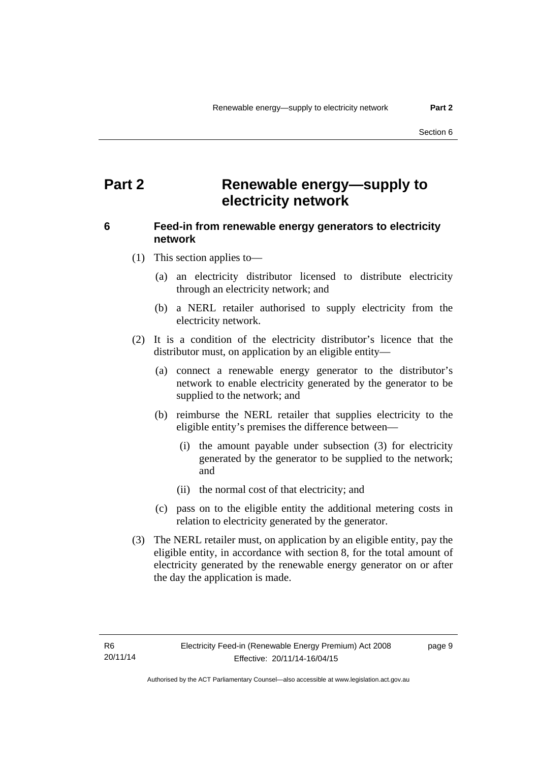### <span id="page-12-0"></span>**Part 2 Renewable energy—supply to electricity network**

### <span id="page-12-1"></span>**6 Feed-in from renewable energy generators to electricity network**

(1) This section applies to—

- (a) an electricity distributor licensed to distribute electricity through an electricity network; and
- (b) a NERL retailer authorised to supply electricity from the electricity network.
- (2) It is a condition of the electricity distributor's licence that the distributor must, on application by an eligible entity—
	- (a) connect a renewable energy generator to the distributor's network to enable electricity generated by the generator to be supplied to the network; and
	- (b) reimburse the NERL retailer that supplies electricity to the eligible entity's premises the difference between—
		- (i) the amount payable under subsection (3) for electricity generated by the generator to be supplied to the network; and
		- (ii) the normal cost of that electricity; and
	- (c) pass on to the eligible entity the additional metering costs in relation to electricity generated by the generator.
- (3) The NERL retailer must, on application by an eligible entity, pay the eligible entity, in accordance with section 8, for the total amount of electricity generated by the renewable energy generator on or after the day the application is made.

page 9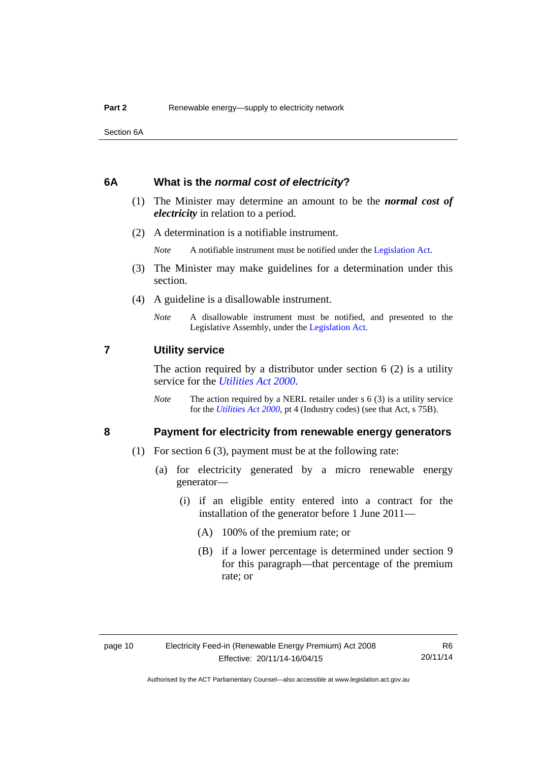Section 6A

#### <span id="page-13-0"></span>**6A What is the** *normal cost of electricity***?**

- (1) The Minister may determine an amount to be the *normal cost of electricity* in relation to a period.
- (2) A determination is a notifiable instrument.

*Note* A notifiable instrument must be notified under the [Legislation Act](http://www.legislation.act.gov.au/a/2001-14).

- (3) The Minister may make guidelines for a determination under this section.
- (4) A guideline is a disallowable instrument.
	- *Note* A disallowable instrument must be notified, and presented to the Legislative Assembly, under the [Legislation Act.](http://www.legislation.act.gov.au/a/2001-14)

#### <span id="page-13-1"></span>**7 Utility service**

The action required by a distributor under section  $6(2)$  is a utility service for the *[Utilities Act 2000](http://www.legislation.act.gov.au/a/2000-65)*.

*Note* The action required by a NERL retailer under s 6 (3) is a utility service for the *[Utilities Act 2000](http://www.legislation.act.gov.au/a/2000-65)*, pt 4 (Industry codes) (see that Act, s 75B).

#### <span id="page-13-2"></span>**8 Payment for electricity from renewable energy generators**

- (1) For section 6 (3), payment must be at the following rate:
	- (a) for electricity generated by a micro renewable energy generator—
		- (i) if an eligible entity entered into a contract for the installation of the generator before 1 June 2011—
			- (A) 100% of the premium rate; or
			- (B) if a lower percentage is determined under section 9 for this paragraph—that percentage of the premium rate; or

R6 20/11/14

Authorised by the ACT Parliamentary Counsel—also accessible at www.legislation.act.gov.au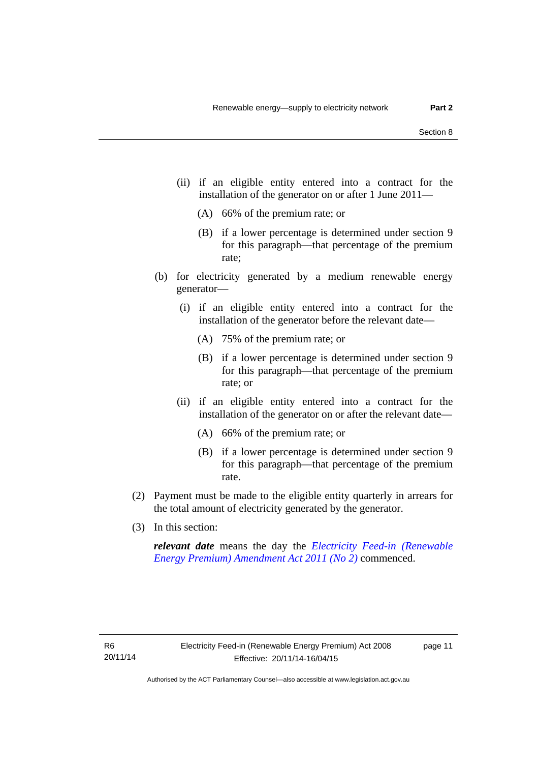- (ii) if an eligible entity entered into a contract for the installation of the generator on or after 1 June 2011—
	- (A) 66% of the premium rate; or
	- (B) if a lower percentage is determined under section 9 for this paragraph—that percentage of the premium rate;
- (b) for electricity generated by a medium renewable energy generator—
	- (i) if an eligible entity entered into a contract for the installation of the generator before the relevant date—
		- (A) 75% of the premium rate; or
		- (B) if a lower percentage is determined under section 9 for this paragraph—that percentage of the premium rate; or
	- (ii) if an eligible entity entered into a contract for the installation of the generator on or after the relevant date—
		- (A) 66% of the premium rate; or
		- (B) if a lower percentage is determined under section 9 for this paragraph—that percentage of the premium rate.
- (2) Payment must be made to the eligible entity quarterly in arrears for the total amount of electricity generated by the generator.
- (3) In this section:

*relevant date* means the day the *[Electricity Feed-in \(Renewable](http://www.legislation.act.gov.au/a/2011-25)  [Energy Premium\) Amendment Act 2011 \(No 2\)](http://www.legislation.act.gov.au/a/2011-25)* commenced.

page 11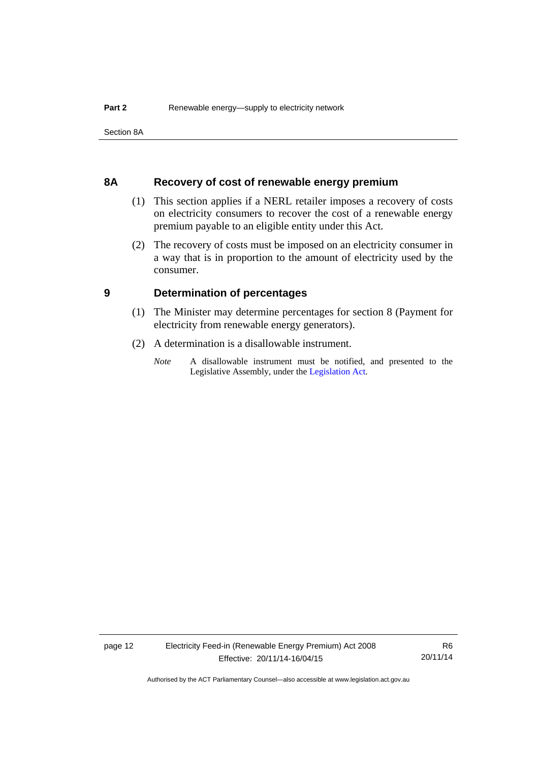Section 8A

#### <span id="page-15-0"></span>**8A Recovery of cost of renewable energy premium**

- (1) This section applies if a NERL retailer imposes a recovery of costs on electricity consumers to recover the cost of a renewable energy premium payable to an eligible entity under this Act.
- (2) The recovery of costs must be imposed on an electricity consumer in a way that is in proportion to the amount of electricity used by the consumer.

#### <span id="page-15-1"></span>**9 Determination of percentages**

- (1) The Minister may determine percentages for section 8 (Payment for electricity from renewable energy generators).
- (2) A determination is a disallowable instrument.
	- *Note* A disallowable instrument must be notified, and presented to the Legislative Assembly, under the [Legislation Act.](http://www.legislation.act.gov.au/a/2001-14)

R6 20/11/14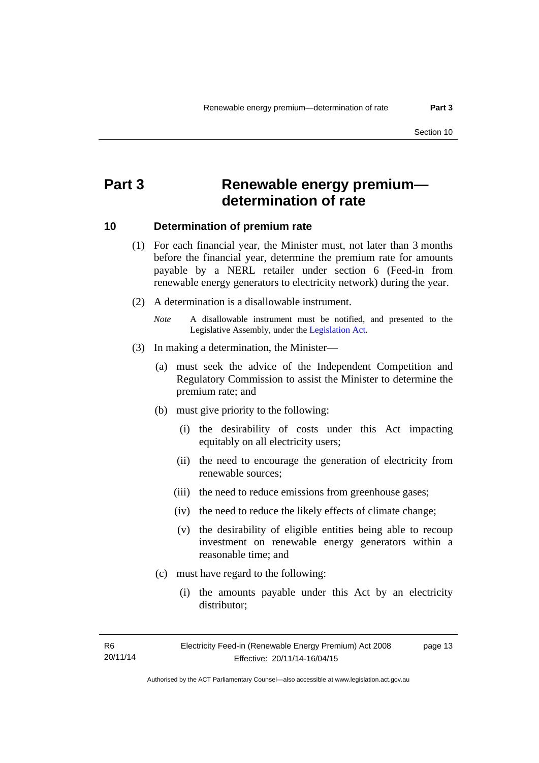### <span id="page-16-0"></span>**Part 3 Renewable energy premium determination of rate**

#### <span id="page-16-1"></span>**10 Determination of premium rate**

- (1) For each financial year, the Minister must, not later than 3 months before the financial year, determine the premium rate for amounts payable by a NERL retailer under section 6 (Feed-in from renewable energy generators to electricity network) during the year.
- (2) A determination is a disallowable instrument.
	- *Note* A disallowable instrument must be notified, and presented to the Legislative Assembly, under the [Legislation Act.](http://www.legislation.act.gov.au/a/2001-14)
- (3) In making a determination, the Minister—
	- (a) must seek the advice of the Independent Competition and Regulatory Commission to assist the Minister to determine the premium rate; and
	- (b) must give priority to the following:
		- (i) the desirability of costs under this Act impacting equitably on all electricity users;
		- (ii) the need to encourage the generation of electricity from renewable sources;
		- (iii) the need to reduce emissions from greenhouse gases;
		- (iv) the need to reduce the likely effects of climate change;
		- (v) the desirability of eligible entities being able to recoup investment on renewable energy generators within a reasonable time; and
	- (c) must have regard to the following:
		- (i) the amounts payable under this Act by an electricity distributor;

R6 20/11/14 page 13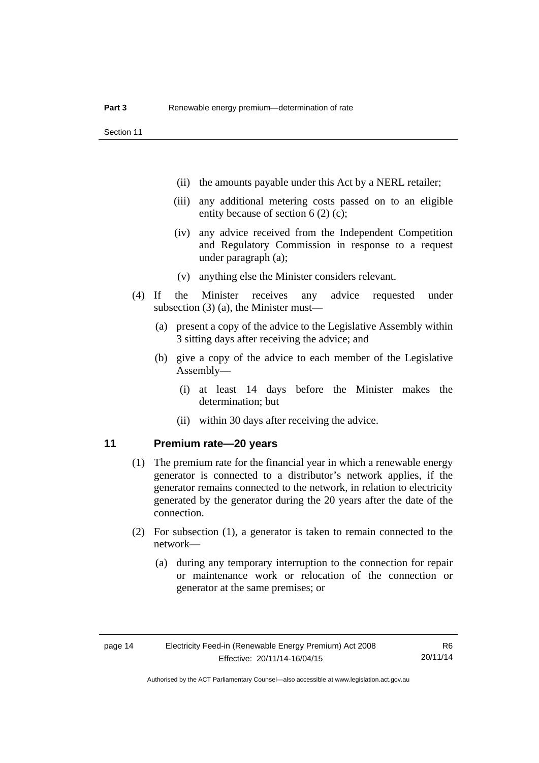- (ii) the amounts payable under this Act by a NERL retailer;
- (iii) any additional metering costs passed on to an eligible entity because of section 6 (2) (c);
- (iv) any advice received from the Independent Competition and Regulatory Commission in response to a request under paragraph (a);
- (v) anything else the Minister considers relevant.
- (4) If the Minister receives any advice requested under subsection (3) (a), the Minister must—
	- (a) present a copy of the advice to the Legislative Assembly within 3 sitting days after receiving the advice; and
	- (b) give a copy of the advice to each member of the Legislative Assembly—
		- (i) at least 14 days before the Minister makes the determination; but
		- (ii) within 30 days after receiving the advice.

#### <span id="page-17-0"></span>**11 Premium rate—20 years**

- (1) The premium rate for the financial year in which a renewable energy generator is connected to a distributor's network applies, if the generator remains connected to the network, in relation to electricity generated by the generator during the 20 years after the date of the connection.
- (2) For subsection (1), a generator is taken to remain connected to the network—
	- (a) during any temporary interruption to the connection for repair or maintenance work or relocation of the connection or generator at the same premises; or

R6 20/11/14

Authorised by the ACT Parliamentary Counsel—also accessible at www.legislation.act.gov.au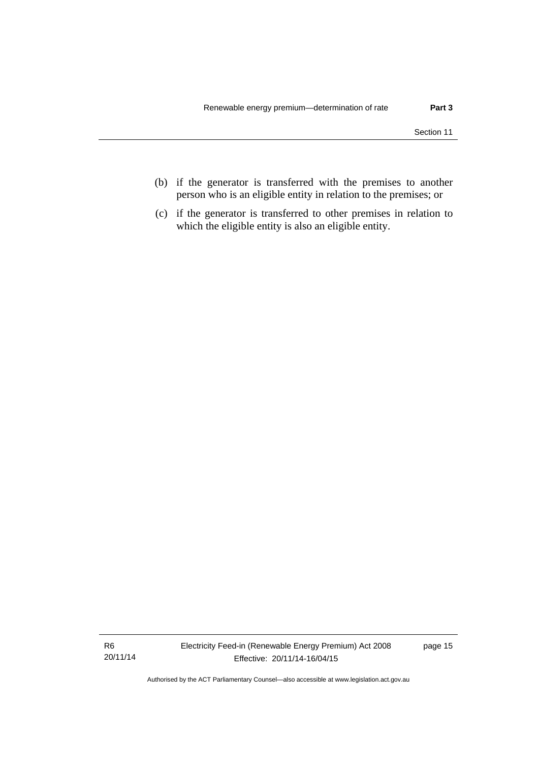- (b) if the generator is transferred with the premises to another person who is an eligible entity in relation to the premises; or
- (c) if the generator is transferred to other premises in relation to which the eligible entity is also an eligible entity.

R6 20/11/14 Electricity Feed-in (Renewable Energy Premium) Act 2008 Effective: 20/11/14-16/04/15

page 15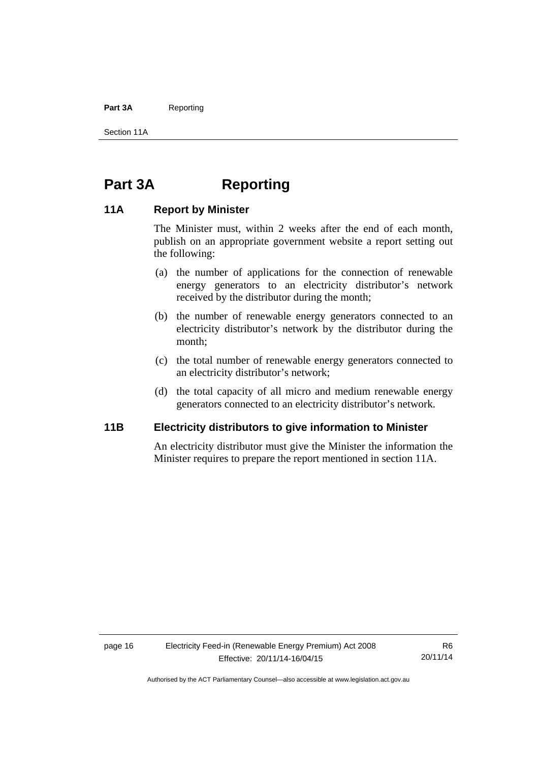#### Part 3A Reporting

Section 11A

### <span id="page-19-0"></span>**Part 3A Reporting**

#### <span id="page-19-1"></span>**11A Report by Minister**

The Minister must, within 2 weeks after the end of each month, publish on an appropriate government website a report setting out the following:

- (a) the number of applications for the connection of renewable energy generators to an electricity distributor's network received by the distributor during the month;
- (b) the number of renewable energy generators connected to an electricity distributor's network by the distributor during the month;
- (c) the total number of renewable energy generators connected to an electricity distributor's network;
- (d) the total capacity of all micro and medium renewable energy generators connected to an electricity distributor's network.

#### <span id="page-19-2"></span>**11B Electricity distributors to give information to Minister**

An electricity distributor must give the Minister the information the Minister requires to prepare the report mentioned in section 11A.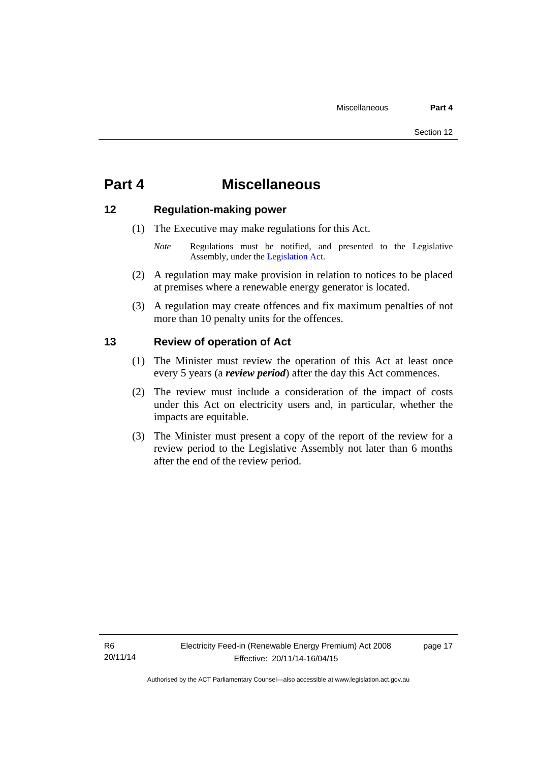### <span id="page-20-0"></span>**Part 4 Miscellaneous**

#### <span id="page-20-1"></span>**12 Regulation-making power**

- (1) The Executive may make regulations for this Act.
	- *Note* Regulations must be notified, and presented to the Legislative Assembly, under the [Legislation Act](http://www.legislation.act.gov.au/a/2001-14).
- (2) A regulation may make provision in relation to notices to be placed at premises where a renewable energy generator is located.
- (3) A regulation may create offences and fix maximum penalties of not more than 10 penalty units for the offences.

#### <span id="page-20-2"></span>**13 Review of operation of Act**

- (1) The Minister must review the operation of this Act at least once every 5 years (a *review period*) after the day this Act commences.
- (2) The review must include a consideration of the impact of costs under this Act on electricity users and, in particular, whether the impacts are equitable.
- (3) The Minister must present a copy of the report of the review for a review period to the Legislative Assembly not later than 6 months after the end of the review period.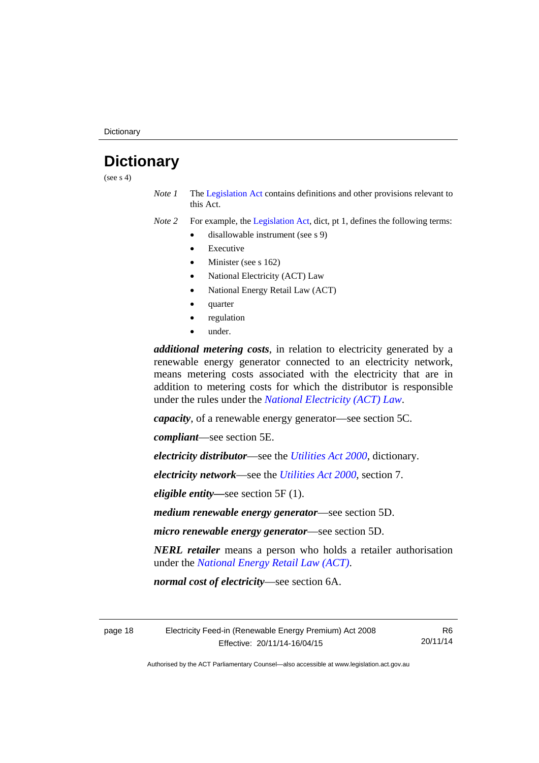## <span id="page-21-0"></span>**Dictionary**

(see  $s$  4)

*Note 1* The [Legislation Act](http://www.legislation.act.gov.au/a/2001-14) contains definitions and other provisions relevant to this Act.

*Note 2* For example, the [Legislation Act,](http://www.legislation.act.gov.au/a/2001-14) dict, pt 1, defines the following terms:

- disallowable instrument (see s 9)
	- Executive
	- Minister (see s 162)
	- National Electricity (ACT) Law
	- National Energy Retail Law (ACT)
	- quarter
	- regulation
	- under.

*additional metering costs*, in relation to electricity generated by a renewable energy generator connected to an electricity network, means metering costs associated with the electricity that are in addition to metering costs for which the distributor is responsible under the rules under the *[National Electricity \(ACT\) Law](http://www.legislation.act.gov.au/a/1997-79/default.asp)*.

*capacity*, of a renewable energy generator—see section 5C.

*compliant*—see section 5E.

*electricity distributor*—see the *[Utilities Act 2000](http://www.legislation.act.gov.au/a/2000-65)*, dictionary.

*electricity network*—see the *[Utilities Act 2000](http://www.legislation.act.gov.au/a/2000-65)*, section 7.

*eligible entity—*see section 5F (1).

*medium renewable energy generator*—see section 5D.

*micro renewable energy generator*—see section 5D.

*NERL retailer* means a person who holds a retailer authorisation under the *[National Energy Retail Law \(ACT\)](http://www.legislation.act.gov.au/a/2012-31/default.asp)*.

*normal cost of electricity*—see section 6A.

page 18 Electricity Feed-in (Renewable Energy Premium) Act 2008 Effective: 20/11/14-16/04/15

R6 20/11/14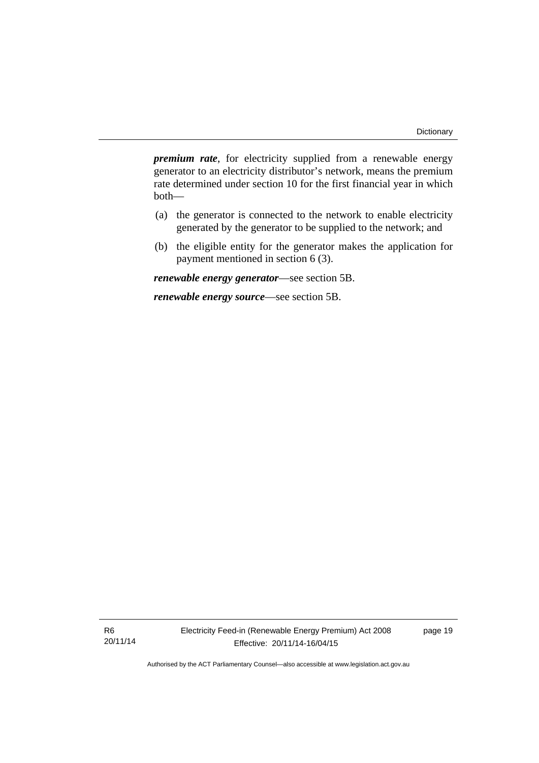*premium rate*, for electricity supplied from a renewable energy generator to an electricity distributor's network, means the premium rate determined under section 10 for the first financial year in which both—

- (a) the generator is connected to the network to enable electricity generated by the generator to be supplied to the network; and
- (b) the eligible entity for the generator makes the application for payment mentioned in section 6 (3).

*renewable energy generator*—see section 5B.

*renewable energy source*—see section 5B.

R6 20/11/14 Electricity Feed-in (Renewable Energy Premium) Act 2008 Effective: 20/11/14-16/04/15

page 19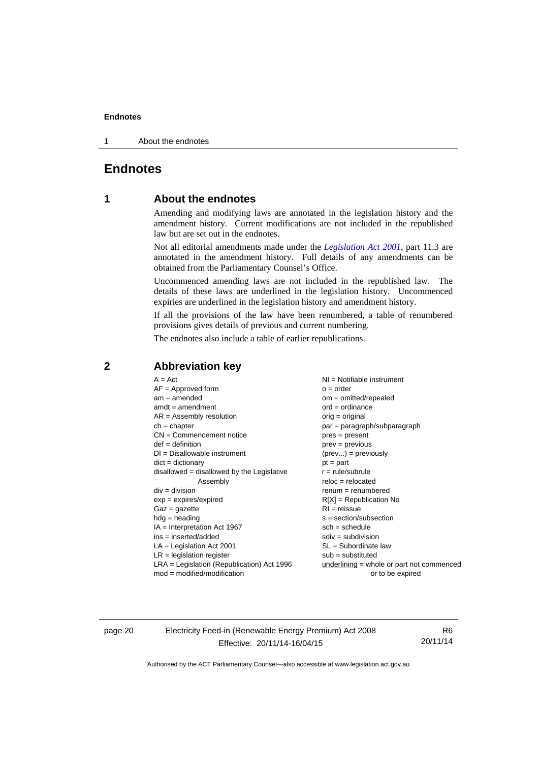1 About the endnotes

#### <span id="page-23-0"></span>**Endnotes**

#### **1 About the endnotes**

Amending and modifying laws are annotated in the legislation history and the amendment history. Current modifications are not included in the republished law but are set out in the endnotes.

Not all editorial amendments made under the *[Legislation Act 2001](http://www.legislation.act.gov.au/a/2001-14)*, part 11.3 are annotated in the amendment history. Full details of any amendments can be obtained from the Parliamentary Counsel's Office.

Uncommenced amending laws are not included in the republished law. The details of these laws are underlined in the legislation history. Uncommenced expiries are underlined in the legislation history and amendment history.

If all the provisions of the law have been renumbered, a table of renumbered provisions gives details of previous and current numbering.

The endnotes also include a table of earlier republications.

| $A = Act$<br>$AF =$ Approved form<br>$am = amended$<br>$amdt = amendment$<br>$AR = Assembly resolution$<br>$ch = chapter$<br>$CN =$ Commencement notice<br>$def = definition$<br>$DI = Disallowable instrument$<br>$dict = dictionary$<br>disallowed = disallowed by the Legislative<br>Assembly<br>$div = division$<br>$exp = expires/expired$<br>$Gaz = gazette$<br>$hdg = heading$<br>$IA = Interpretation Act 1967$<br>$ins = inserted/added$<br>$LA =$ Legislation Act 2001<br>$LR =$ legislation register | NI = Notifiable instrument<br>$o = order$<br>$om = omitted/repealed$<br>$ord = ordinance$<br>$orig = original$<br>par = paragraph/subparagraph<br>$pres = present$<br>$prev = previous$<br>$(\text{prev}) = \text{previously}$<br>$pt = part$<br>$r = rule/subrule$<br>$reloc = relocated$<br>$remum = renumbered$<br>$R[X]$ = Republication No<br>$RI = reissue$<br>$s = section/subsection$<br>$sch = schedule$<br>$sdiv = subdivision$<br>$SL = Subordinate$ law |
|-----------------------------------------------------------------------------------------------------------------------------------------------------------------------------------------------------------------------------------------------------------------------------------------------------------------------------------------------------------------------------------------------------------------------------------------------------------------------------------------------------------------|---------------------------------------------------------------------------------------------------------------------------------------------------------------------------------------------------------------------------------------------------------------------------------------------------------------------------------------------------------------------------------------------------------------------------------------------------------------------|
|                                                                                                                                                                                                                                                                                                                                                                                                                                                                                                                 |                                                                                                                                                                                                                                                                                                                                                                                                                                                                     |
| $LRA =$ Legislation (Republication) Act 1996                                                                                                                                                                                                                                                                                                                                                                                                                                                                    | $sub =$ substituted<br>$underlining = whole or part not commenced$                                                                                                                                                                                                                                                                                                                                                                                                  |
| $mod = modified/modification$                                                                                                                                                                                                                                                                                                                                                                                                                                                                                   | or to be expired                                                                                                                                                                                                                                                                                                                                                                                                                                                    |

#### <span id="page-23-2"></span>**2 Abbreviation key**

page 20 Electricity Feed-in (Renewable Energy Premium) Act 2008 Effective: 20/11/14-16/04/15

R6 20/11/14

<span id="page-23-1"></span>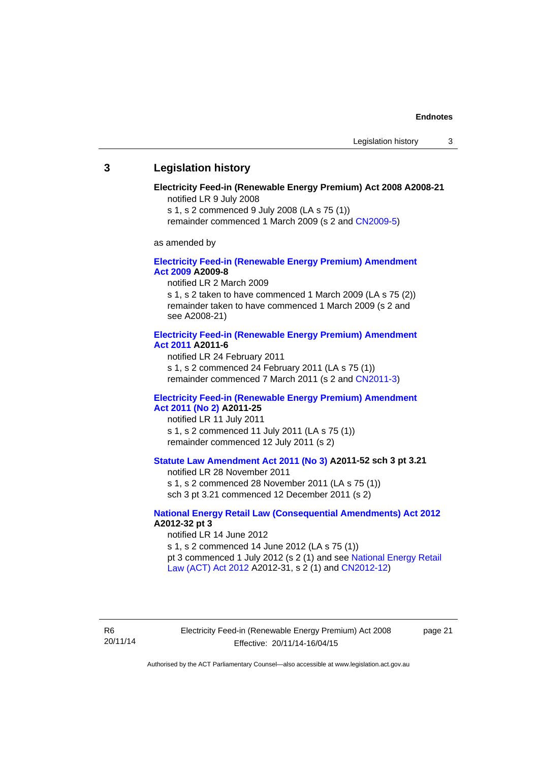#### <span id="page-24-0"></span>**3 Legislation history**

#### **Electricity Feed-in (Renewable Energy Premium) Act 2008 A2008-21**  notified LR 9 July 2008

s 1, s 2 commenced 9 July 2008 (LA s 75 (1))

remainder commenced 1 March 2009 (s 2 and [CN2009-5\)](http://www.legislation.act.gov.au/cn/2009-5/default.asp)

as amended by

#### **[Electricity Feed-in \(Renewable Energy Premium\) Amendment](http://www.legislation.act.gov.au/a/2009-8)  [Act 2009](http://www.legislation.act.gov.au/a/2009-8) A2009-8**

notified LR 2 March 2009

s 1, s 2 taken to have commenced 1 March 2009 (LA s 75 (2)) remainder taken to have commenced 1 March 2009 (s 2 and see A2008-21)

#### **[Electricity Feed-in \(Renewable Energy Premium\) Amendment](http://www.legislation.act.gov.au/a/2011-6)  [Act 2011](http://www.legislation.act.gov.au/a/2011-6) A2011-6**

notified LR 24 February 2011 s 1, s 2 commenced 24 February 2011 (LA s 75 (1)) remainder commenced 7 March 2011 (s 2 and [CN2011-3\)](http://www.legislation.act.gov.au/cn/2011-3/default.asp)

#### **[Electricity Feed-in \(Renewable Energy Premium\) Amendment](http://www.legislation.act.gov.au/a/2011-25)  [Act 2011 \(No 2\)](http://www.legislation.act.gov.au/a/2011-25) A2011-25**

notified LR 11 July 2011 s 1, s 2 commenced 11 July 2011 (LA s 75 (1)) remainder commenced 12 July 2011 (s 2)

#### **[Statute Law Amendment Act 2011 \(No 3\)](http://www.legislation.act.gov.au/a/2011-52) A2011-52 sch 3 pt 3.21**

notified LR 28 November 2011

s 1, s 2 commenced 28 November 2011 (LA s 75 (1)) sch 3 pt 3.21 commenced 12 December 2011 (s 2)

#### **[National Energy Retail Law \(Consequential Amendments\) Act 2012](http://www.legislation.act.gov.au/a/2012-32) A2012-32 pt 3**

notified LR 14 June 2012 s 1, s 2 commenced 14 June 2012 (LA s 75 (1)) pt 3 commenced 1 July 2012 (s 2 (1) and see [National Energy Retail](http://www.legislation.act.gov.au/a/2012-31)  [Law \(ACT\) Act 2012](http://www.legislation.act.gov.au/a/2012-31) A2012-31, s 2 (1) and [CN2012-12\)](http://www.legislation.act.gov.au/cn/2012-12/default.asp)

R6 20/11/14 Electricity Feed-in (Renewable Energy Premium) Act 2008 Effective: 20/11/14-16/04/15

page 21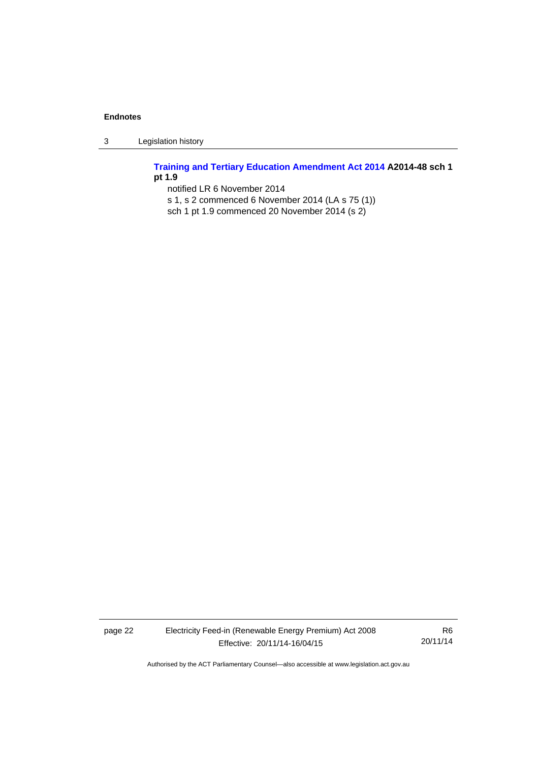3 Legislation history

**[Training and Tertiary Education Amendment Act 2014](http://www.legislation.act.gov.au/a/2014-48) A2014-48 sch 1 pt 1.9** 

notified LR 6 November 2014

- s 1, s 2 commenced 6 November 2014 (LA s 75 (1))
- sch 1 pt 1.9 commenced 20 November 2014 (s 2)

page 22 Electricity Feed-in (Renewable Energy Premium) Act 2008 Effective: 20/11/14-16/04/15

R6 20/11/14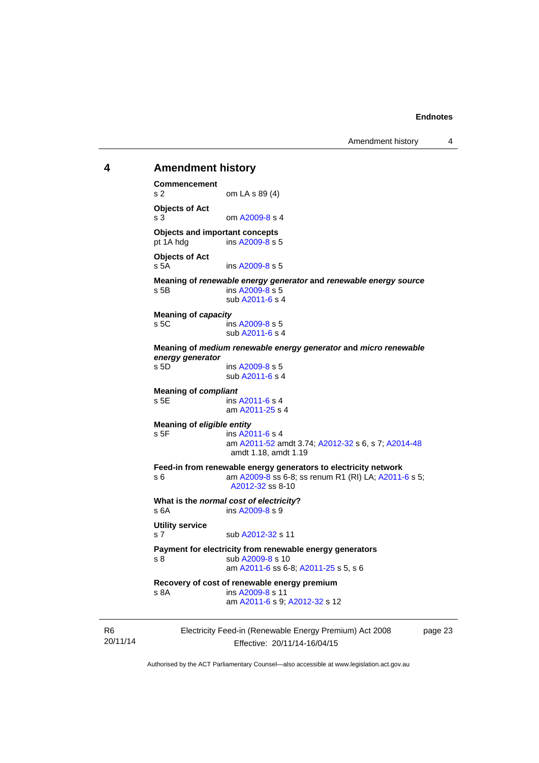Amendment history 4

#### <span id="page-26-0"></span>**4 Amendment history Commencement**

s 2 om LA s 89 (4) **Objects of Act**  s 3 om [A2009-8](http://www.legislation.act.gov.au/a/2009-8) s 4 **Objects and important concepts**  pt 1A hdg ins [A2009-8](http://www.legislation.act.gov.au/a/2009-8) s 5 **Objects of Act**  s 5A ins [A2009-8](http://www.legislation.act.gov.au/a/2009-8) s 5 **Meaning of** *renewable energy generator* **and** *renewable energy source* s 5B ins [A2009-8](http://www.legislation.act.gov.au/a/2009-8) s 5 sub [A2011-6](http://www.legislation.act.gov.au/a/2011-6) s 4 **Meaning of** *capacity* s 5C ins [A2009-8](http://www.legislation.act.gov.au/a/2009-8) s 5 sub [A2011-6](http://www.legislation.act.gov.au/a/2011-6) s 4 **Meaning of** *medium renewable energy generator* **and** *micro renewable energy generator* s 5D ins [A2009-8](http://www.legislation.act.gov.au/a/2009-8) s 5 sub [A2011-6](http://www.legislation.act.gov.au/a/2011-6) s 4 **Meaning of** *compliant* s 5E ins [A2011-6](http://www.legislation.act.gov.au/a/2011-6) s 4 am [A2011-25](http://www.legislation.act.gov.au/a/2011-25) s 4 **Meaning of** *eligible entity* s 5F ins [A2011-6](http://www.legislation.act.gov.au/a/2011-6) s 4 am [A2011-52](http://www.legislation.act.gov.au/a/2011-52) amdt 3.74; [A2012-32](http://www.legislation.act.gov.au/a/2012-32) s 6, s 7; [A2014-48](http://www.legislation.act.gov.au/a/2014-48) amdt 1.18, amdt 1.19 **Feed-in from renewable energy generators to electricity network**  s 6 am [A2009-8](http://www.legislation.act.gov.au/a/2009-8) ss 6-8; ss renum R1 (RI) LA; [A2011-6](http://www.legislation.act.gov.au/a/2011-6) s 5; [A2012-32](http://www.legislation.act.gov.au/a/2012-32) ss 8-10 **What is the** *normal cost of electricity***?**  s 6A ins [A2009-8](http://www.legislation.act.gov.au/a/2009-8) s 9 **Utility service**  s 7 sub [A2012-32](http://www.legislation.act.gov.au/a/2012-32) s 11 **Payment for electricity from renewable energy generators**  s 8 sub [A2009-8](http://www.legislation.act.gov.au/a/2009-8) s 10 am [A2011-6](http://www.legislation.act.gov.au/a/2011-6) ss 6-8; [A2011-25](http://www.legislation.act.gov.au/a/2011-25) s 5, s 6 **Recovery of cost of renewable energy premium**  s 8A ins [A2009-8](http://www.legislation.act.gov.au/a/2009-8) s 11 am [A2011-6](http://www.legislation.act.gov.au/a/2011-6) s 9; [A2012-32](http://www.legislation.act.gov.au/a/2012-32) s 12

R6 20/11/14 Electricity Feed-in (Renewable Energy Premium) Act 2008 Effective: 20/11/14-16/04/15

page 23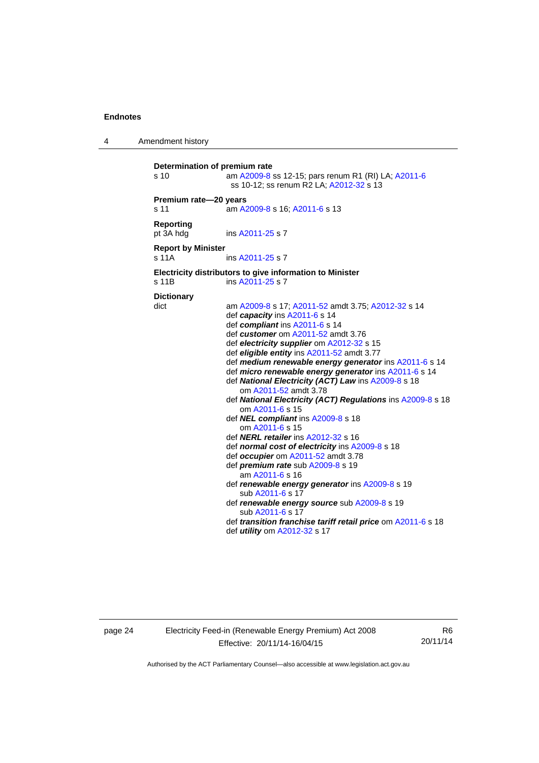4 Amendment history

| Determination of premium rate<br>s 10 | am A2009-8 ss 12-15; pars renum R1 (RI) LA; A2011-6<br>ss 10-12; ss renum R2 LA; A2012-32 s 13                                                                                                                                                                                                                                                                                                                                                                                                                                                                                                                                                                                                                                                                                                                                                                                                                                                                                                                                                               |
|---------------------------------------|--------------------------------------------------------------------------------------------------------------------------------------------------------------------------------------------------------------------------------------------------------------------------------------------------------------------------------------------------------------------------------------------------------------------------------------------------------------------------------------------------------------------------------------------------------------------------------------------------------------------------------------------------------------------------------------------------------------------------------------------------------------------------------------------------------------------------------------------------------------------------------------------------------------------------------------------------------------------------------------------------------------------------------------------------------------|
| Premium rate-20 years<br>s 11         | am A2009-8 s 16; A2011-6 s 13                                                                                                                                                                                                                                                                                                                                                                                                                                                                                                                                                                                                                                                                                                                                                                                                                                                                                                                                                                                                                                |
| <b>Reporting</b><br>pt 3A hdg         | ins A2011-25 s 7                                                                                                                                                                                                                                                                                                                                                                                                                                                                                                                                                                                                                                                                                                                                                                                                                                                                                                                                                                                                                                             |
| <b>Report by Minister</b><br>s 11A    | ins A2011-25 s 7                                                                                                                                                                                                                                                                                                                                                                                                                                                                                                                                                                                                                                                                                                                                                                                                                                                                                                                                                                                                                                             |
| s 11B                                 | Electricity distributors to give information to Minister<br>ins A2011-25 s 7                                                                                                                                                                                                                                                                                                                                                                                                                                                                                                                                                                                                                                                                                                                                                                                                                                                                                                                                                                                 |
| <b>Dictionary</b><br>dict             | am A2009-8 s 17; A2011-52 amdt 3.75; A2012-32 s 14<br>def capacity ins A2011-6 s 14<br>def compliant ins A2011-6 s 14<br>def customer om A2011-52 amdt 3.76<br>def electricity supplier om A2012-32 s 15<br>def eligible entity ins A2011-52 amdt 3.77<br>def medium renewable energy generator ins A2011-6 s 14<br>def micro renewable energy generator ins A2011-6 s 14<br>def National Electricity (ACT) Law ins A2009-8 s 18<br>om A2011-52 amdt 3.78<br>def National Electricity (ACT) Regulations ins A2009-8 s 18<br>om A2011-6 s 15<br>def NEL compliant ins A2009-8 s 18<br>om A2011-6 s 15<br>def <b>NERL retailer</b> ins A2012-32 s 16<br>def normal cost of electricity ins A2009-8 s 18<br>def occupier om A2011-52 amdt 3.78<br>def <i>premium rate</i> sub A2009-8 s 19<br>am A2011-6 s 16<br>def renewable energy generator ins A2009-8 s 19<br>sub A2011-6 s 17<br>def renewable energy source sub A2009-8 s 19<br>sub A2011-6 s 17<br>def transition franchise tariff retail price om A2011-6 s 18<br>def <i>utility</i> om A2012-32 s 17 |

page 24 Electricity Feed-in (Renewable Energy Premium) Act 2008 Effective: 20/11/14-16/04/15

R6 20/11/14